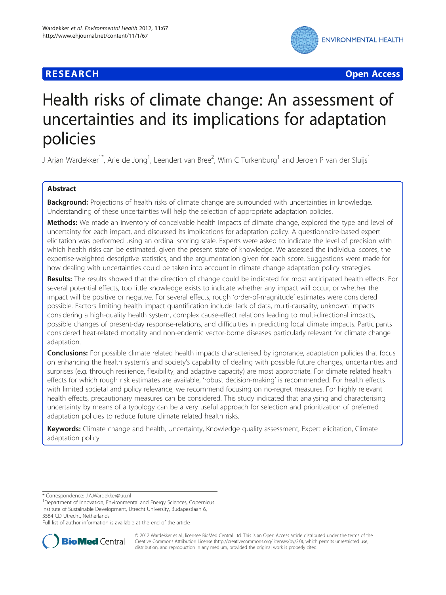# **RESEARCH CHE Open Access**



# Health risks of climate change: An assessment of uncertainties and its implications for adaptation policies

J Arjan Wardekker<sup>1\*</sup>, Arie de Jong<sup>1</sup>, Leendert van Bree<sup>2</sup>, Wim C Turkenburg<sup>1</sup> and Jeroen P van der Sluijs<sup>1</sup>

# Abstract

Background: Projections of health risks of climate change are surrounded with uncertainties in knowledge. Understanding of these uncertainties will help the selection of appropriate adaptation policies.

Methods: We made an inventory of conceivable health impacts of climate change, explored the type and level of uncertainty for each impact, and discussed its implications for adaptation policy. A questionnaire-based expert elicitation was performed using an ordinal scoring scale. Experts were asked to indicate the level of precision with which health risks can be estimated, given the present state of knowledge. We assessed the individual scores, the expertise-weighted descriptive statistics, and the argumentation given for each score. Suggestions were made for how dealing with uncertainties could be taken into account in climate change adaptation policy strategies.

Results: The results showed that the direction of change could be indicated for most anticipated health effects. For several potential effects, too little knowledge exists to indicate whether any impact will occur, or whether the impact will be positive or negative. For several effects, rough 'order-of-magnitude' estimates were considered possible. Factors limiting health impact quantification include: lack of data, multi-causality, unknown impacts considering a high-quality health system, complex cause-effect relations leading to multi-directional impacts, possible changes of present-day response-relations, and difficulties in predicting local climate impacts. Participants considered heat-related mortality and non-endemic vector-borne diseases particularly relevant for climate change adaptation.

**Conclusions:** For possible climate related health impacts characterised by ignorance, adaptation policies that focus on enhancing the health system's and society's capability of dealing with possible future changes, uncertainties and surprises (e.g. through resilience, flexibility, and adaptive capacity) are most appropriate. For climate related health effects for which rough risk estimates are available, 'robust decision-making' is recommended. For health effects with limited societal and policy relevance, we recommend focusing on no-regret measures. For highly relevant health effects, precautionary measures can be considered. This study indicated that analysing and characterising uncertainty by means of a typology can be a very useful approach for selection and prioritization of preferred adaptation policies to reduce future climate related health risks.

Keywords: Climate change and health, Uncertainty, Knowledge quality assessment, Expert elicitation, Climate adaptation policy

\* Correspondence: [J.A.Wardekker@uu.nl](mailto:J.A.Wardekker@uu.nl) <sup>1</sup>

Department of Innovation, Environmental and Energy Sciences, Copernicus Institute of Sustainable Development, Utrecht University, Budapestlaan 6, 3584 CD Utrecht, Netherlands

Full list of author information is available at the end of the article



© 2012 Wardekker et al.; licensee BioMed Central Ltd. This is an Open Access article distributed under the terms of the Creative Commons Attribution License (<http://creativecommons.org/licenses/by/2.0>), which permits unrestricted use, distribution, and reproduction in any medium, provided the original work is properly cited.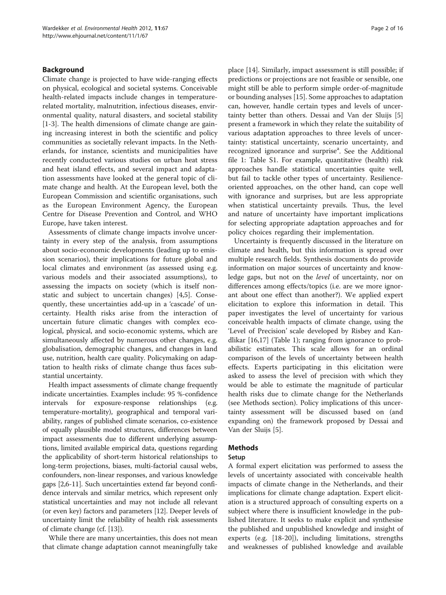## Background

Climate change is projected to have wide-ranging effects on physical, ecological and societal systems. Conceivable health-related impacts include changes in temperaturerelated mortality, malnutrition, infectious diseases, environmental quality, natural disasters, and societal stability [[1-3](#page-14-0)]. The health dimensions of climate change are gaining increasing interest in both the scientific and policy communities as societally relevant impacts. In the Netherlands, for instance, scientists and municipalities have recently conducted various studies on urban heat stress and heat island effects, and several impact and adaptation assessments have looked at the general topic of climate change and health. At the European level, both the European Commission and scientific organisations, such as the European Environment Agency, the European Centre for Disease Prevention and Control, and WHO Europe, have taken interest.

Assessments of climate change impacts involve uncertainty in every step of the analysis, from assumptions about socio-economic developments (leading up to emission scenarios), their implications for future global and local climates and environment (as assessed using e.g. various models and their associated assumptions), to assessing the impacts on society (which is itself nonstatic and subject to uncertain changes) [\[4,5](#page-14-0)]. Consequently, these uncertainties add-up in a 'cascade' of uncertainty. Health risks arise from the interaction of uncertain future climatic changes with complex ecological, physical, and socio-economic systems, which are simultaneously affected by numerous other changes, e.g. globalisation, demographic changes, and changes in land use, nutrition, health care quality. Policymaking on adaptation to health risks of climate change thus faces substantial uncertainty.

Health impact assessments of climate change frequently indicate uncertainties. Examples include: 95 %-confidence intervals for exposure-response relationships (e.g. temperature-mortality), geographical and temporal variability, ranges of published climate scenarios, co-existence of equally plausible model structures, differences between impact assessments due to different underlying assumptions, limited available empirical data, questions regarding the applicability of short-term historical relationships to long-term projections, biases, multi-factorial causal webs, confounders, non-linear responses, and various knowledge gaps [[2,6](#page-14-0)-[11](#page-14-0)]. Such uncertainties extend far beyond confidence intervals and similar metrics, which represent only statistical uncertainties and may not include all relevant (or even key) factors and parameters [\[12\]](#page-14-0). Deeper levels of uncertainty limit the reliability of health risk assessments of climate change (cf. [\[13\]](#page-14-0)).

While there are many uncertainties, this does not mean that climate change adaptation cannot meaningfully take

place [[14](#page-14-0)]. Similarly, impact assessment is still possible; if predictions or projections are not feasible or sensible, one might still be able to perform simple order-of-magnitude or bounding analyses [\[15\]](#page-14-0). Some approaches to adaptation can, however, handle certain types and levels of uncertainty better than others. Dessai and Van der Sluijs [\[5](#page-14-0)] present a framework in which they relate the suitability of various adaptation approaches to three levels of uncertainty: statistical uncertainty, scenario uncertainty, and recognized ignorance and surprise<sup>a</sup>. See the Additional file [1](#page-14-0): Table S1. For example, quantitative (health) risk approaches handle statistical uncertainties quite well, but fail to tackle other types of uncertainty. Resilienceoriented approaches, on the other hand, can cope well with ignorance and surprises, but are less appropriate when statistical uncertainty prevails. Thus, the level and nature of uncertainty have important implications for selecting appropriate adaptation approaches and for policy choices regarding their implementation.

Uncertainty is frequently discussed in the literature on climate and health, but this information is spread over multiple research fields. Synthesis documents do provide information on major sources of uncertainty and knowledge gaps, but not on the level of uncertainty, nor on differences among effects/topics (i.e. are we more ignorant about one effect than another?). We applied expert elicitation to explore this information in detail. This paper investigates the level of uncertainty for various conceivable health impacts of climate change, using the 'Level of Precision' scale developed by Risbey and Kandlikar [\[16,17](#page-14-0)] (Table [1\)](#page-2-0); ranging from ignorance to probabilistic estimates. This scale allows for an ordinal comparison of the levels of uncertainty between health effects. Experts participating in this elicitation were asked to assess the level of precision with which they would be able to estimate the magnitude of particular health risks due to climate change for the Netherlands (see Methods section). Policy implications of this uncertainty assessment will be discussed based on (and expanding on) the framework proposed by Dessai and Van der Sluijs [[5\]](#page-14-0).

# Methods

#### Setup

A formal expert elicitation was performed to assess the levels of uncertainty associated with conceivable health impacts of climate change in the Netherlands, and their implications for climate change adaptation. Expert elicitation is a structured approach of consulting experts on a subject where there is insufficient knowledge in the published literature. It seeks to make explicit and synthesise the published and unpublished knowledge and insight of experts (e.g. [[18-20\]](#page-14-0)), including limitations, strengths and weaknesses of published knowledge and available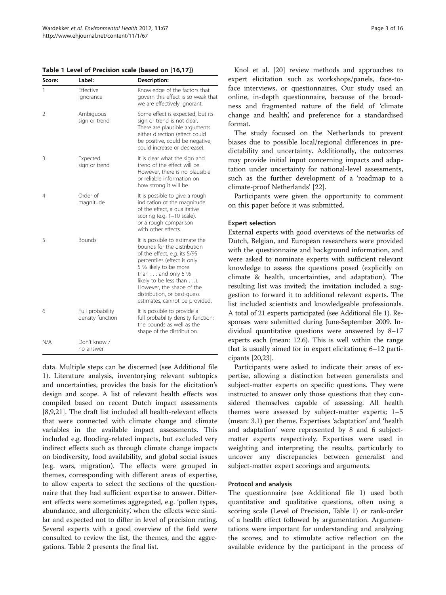<span id="page-2-0"></span>Table 1 Level of Precision scale (based on [\[16](#page-14-0),[17\]](#page-14-0))

| Score: | Label:                               | Description:                                                                                                                                                                                                                                                                                                  |
|--------|--------------------------------------|---------------------------------------------------------------------------------------------------------------------------------------------------------------------------------------------------------------------------------------------------------------------------------------------------------------|
| 1      | Effective<br>ignorance               | Knowledge of the factors that<br>govern this effect is so weak that<br>we are effectively ignorant.                                                                                                                                                                                                           |
| 2      | Ambiguous<br>sign or trend           | Some effect is expected, but its<br>sign or trend is not clear.<br>There are plausible arguments<br>either direction (effect could<br>be positive, could be negative;<br>could increase or decrease).                                                                                                         |
| 3      | Expected<br>sign or trend            | It is clear what the sign and<br>trend of the effect will be.<br>However, there is no plausible<br>or reliable information on<br>how strong it will be.                                                                                                                                                       |
| 4      | Order of<br>magnitude                | It is possible to give a rough<br>indication of the magnitude<br>of the effect, a qualitative<br>scoring (e.g. 1-10 scale),<br>or a rough comparison<br>with other effects.                                                                                                                                   |
| 5      | <b>Bounds</b>                        | It is possible to estimate the<br>bounds for the distribution<br>of the effect, e.g. its 5/95<br>percentiles (effect is only<br>5 % likely to be more<br>than $\ldots$ and only 5 %<br>likely to be less than).<br>However, the shape of the<br>distribution, or best-quess<br>estimates, cannot be provided. |
| 6      | Full probability<br>density function | It is possible to provide a<br>full probability density function;<br>the bounds as well as the<br>shape of the distribution.                                                                                                                                                                                  |
| N/A    | Don't know /<br>no answer            |                                                                                                                                                                                                                                                                                                               |

data. Multiple steps can be discerned (see Additional file [1\)](#page-14-0). Literature analysis, inventorying relevant subtopics and uncertainties, provides the basis for the elicitation's design and scope. A list of relevant health effects was compiled based on recent Dutch impact assessments [[8,9,21\]](#page-14-0). The draft list included all health-relevant effects that were connected with climate change and climate variables in the available impact assessments. This included e.g. flooding-related impacts, but excluded very indirect effects such as through climate change impacts on biodiversity, food availability, and global social issues (e.g. wars, migration). The effects were grouped in themes, corresponding with different areas of expertise, to allow experts to select the sections of the questionnaire that they had sufficient expertise to answer. Different effects were sometimes aggregated, e.g. 'pollen types, abundance, and allergenicity', when the effects were similar and expected not to differ in level of precision rating. Several experts with a good overview of the field were consulted to review the list, the themes, and the aggregations. Table 2 presents the final list.

Knol et al. [\[20](#page-14-0)] review methods and approaches to expert elicitation such as workshops/panels, face-toface interviews, or questionnaires. Our study used an online, in-depth questionnaire, because of the broadness and fragmented nature of the field of 'climate change and health', and preference for a standardised format.

The study focused on the Netherlands to prevent biases due to possible local/regional differences in predictability and uncertainty. Additionally, the outcomes may provide initial input concerning impacts and adaptation under uncertainty for national-level assessments, such as the further development of a 'roadmap to a climate-proof Netherlands' [[22\]](#page-14-0).

Participants were given the opportunity to comment on this paper before it was submitted.

#### Expert selection

External experts with good overviews of the networks of Dutch, Belgian, and European researchers were provided with the questionnaire and background information, and were asked to nominate experts with sufficient relevant knowledge to assess the questions posed (explicitly on climate & health, uncertainties, and adaptation). The resulting list was invited; the invitation included a suggestion to forward it to additional relevant experts. The list included scientists and knowledgeable professionals. A total of 21 experts participated (see Additional file [1](#page-14-0)). Responses were submitted during June-September 2009. Individual quantitative questions were answered by 8–17 experts each (mean: 12.6). This is well within the range that is usually aimed for in expert elicitations; 6–12 participants [[20](#page-14-0),[23](#page-14-0)].

Participants were asked to indicate their areas of expertise, allowing a distinction between generalists and subject-matter experts on specific questions. They were instructed to answer only those questions that they considered themselves capable of assessing. All health themes were assessed by subject-matter experts; 1–5 (mean: 3.1) per theme. Expertises 'adaptation' and 'health and adaptation' were represented by 8 and 6 subjectmatter experts respectively. Expertises were used in weighting and interpreting the results, particularly to uncover any discrepancies between generalist and subject-matter expert scorings and arguments.

#### Protocol and analysis

The questionnaire (see Additional file [1\)](#page-14-0) used both quantitative and qualitative questions, often using a scoring scale (Level of Precision, Table 1) or rank-order of a health effect followed by argumentation. Argumentations were important for understanding and analyzing the scores, and to stimulate active reflection on the available evidence by the participant in the process of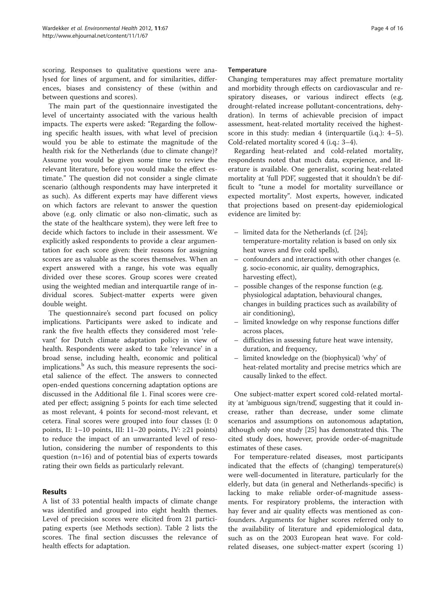scoring. Responses to qualitative questions were analysed for lines of argument, and for similarities, differences, biases and consistency of these (within and between questions and scores).

The main part of the questionnaire investigated the level of uncertainty associated with the various health impacts. The experts were asked: "Regarding the following specific health issues, with what level of precision would you be able to estimate the magnitude of the health risk for the Netherlands (due to climate change)? Assume you would be given some time to review the relevant literature, before you would make the effect estimate." The question did not consider a single climate scenario (although respondents may have interpreted it as such). As different experts may have different views on which factors are relevant to answer the question above (e.g. only climatic or also non-climatic, such as the state of the healthcare system), they were left free to decide which factors to include in their assessment. We explicitly asked respondents to provide a clear argumentation for each score given: their reasons for assigning scores are as valuable as the scores themselves. When an expert answered with a range, his vote was equally divided over these scores. Group scores were created using the weighted median and interquartile range of individual scores. Subject-matter experts were given double weight.

The questionnaire's second part focused on policy implications. Participants were asked to indicate and rank the five health effects they considered most 'relevant' for Dutch climate adaptation policy in view of health. Respondents were asked to take 'relevance' in a broad sense, including health, economic and political implications.<sup>b</sup> As such, this measure represents the societal salience of the effect. The answers to connected open-ended questions concerning adaptation options are discussed in the Additional file [1.](#page-14-0) Final scores were created per effect; assigning 5 points for each time selected as most relevant, 4 points for second-most relevant, et cetera. Final scores were grouped into four classes (I: 0 points, II: 1–10 points, III: 11–20 points, IV: ≥21 points) to reduce the impact of an unwarranted level of resolution, considering the number of respondents to this question (n=16) and of potential bias of experts towards rating their own fields as particularly relevant.

# Results

A list of 33 potential health impacts of climate change was identified and grouped into eight health themes. Level of precision scores were elicited from 21 participating experts (see Methods section). Table [2](#page-4-0) lists the scores. The final section discusses the relevance of health effects for adaptation.

#### **Temperature**

Changing temperatures may affect premature mortality and morbidity through effects on cardiovascular and respiratory diseases, or various indirect effects (e.g. drought-related increase pollutant-concentrations, dehydration). In terms of achievable precision of impact assessment, heat-related mortality received the highestscore in this study: median 4 (interquartile (i.q.): 4–5). Cold-related mortality scored 4 (i.q.: 3–4).

Regarding heat-related and cold-related mortality, respondents noted that much data, experience, and literature is available. One generalist, scoring heat-related mortality at 'full PDF', suggested that it shouldn't be difficult to "tune a model for mortality surveillance or expected mortality". Most experts, however, indicated that projections based on present-day epidemiological evidence are limited by:

- limited data for the Netherlands (cf. [\[24\]](#page-14-0); temperature-mortality relation is based on only six heat waves and five cold spells),
- confounders and interactions with other changes (e. g. socio-economic, air quality, demographics, harvesting effect),
- possible changes of the response function (e.g. physiological adaptation, behavioural changes, changes in building practices such as availability of air conditioning),
- limited knowledge on why response functions differ across places,
- difficulties in assessing future heat wave intensity, duration, and frequency,
- limited knowledge on the (biophysical) 'why' of heat-related mortality and precise metrics which are causally linked to the effect.

One subject-matter expert scored cold-related mortality at 'ambiguous sign/trend', suggesting that it could increase, rather than decrease, under some climate scenarios and assumptions on autonomous adaptation, although only one study [\[25](#page-14-0)] has demonstrated this. The cited study does, however, provide order-of-magnitude estimates of these cases.

For temperature-related diseases, most participants indicated that the effects of (changing) temperature(s) were well-documented in literature, particularly for the elderly, but data (in general and Netherlands-specific) is lacking to make reliable order-of-magnitude assessments. For respiratory problems, the interaction with hay fever and air quality effects was mentioned as confounders. Arguments for higher scores referred only to the availability of literature and epidemiological data, such as on the 2003 European heat wave. For coldrelated diseases, one subject-matter expert (scoring 1)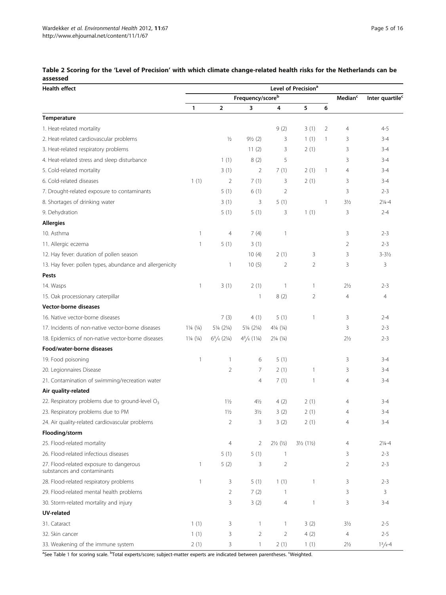<span id="page-4-0"></span>

| Table 2 Scoring for the 'Level of Precision' with which climate change-related health risks for the Netherlands can be |  |  |
|------------------------------------------------------------------------------------------------------------------------|--|--|
| assessed                                                                                                               |  |  |

| <b>Health effect</b>                                                   | Level of Precision <sup>a</sup>           |                                 |                    |                                           |                                   |                     |                             |                    |  |
|------------------------------------------------------------------------|-------------------------------------------|---------------------------------|--------------------|-------------------------------------------|-----------------------------------|---------------------|-----------------------------|--------------------|--|
|                                                                        | Frequency/scoreb                          |                                 |                    |                                           |                                   | Median <sup>c</sup> | Inter quartile <sup>c</sup> |                    |  |
|                                                                        | 1                                         | $\overline{2}$                  | 3                  | 4                                         | 5                                 | 6                   |                             |                    |  |
| Temperature                                                            |                                           |                                 |                    |                                           |                                   |                     |                             |                    |  |
| 1. Heat-related mortality                                              |                                           |                                 |                    | 9(2)                                      | 3(1)                              | 2                   | 4                           | $4 - 5$            |  |
| 2. Heat-related cardiovascular problems                                |                                           | $\frac{1}{2}$                   | $9\frac{1}{2}$ (2) | 3                                         | 1(1)                              | $\mathbf{1}$        | 3                           | $3 - 4$            |  |
| 3. Heat-related respiratory problems                                   |                                           |                                 | 11(2)              | 3                                         | 2(1)                              |                     | 3                           | $3 - 4$            |  |
| 4. Heat-related stress and sleep disturbance                           |                                           | 1(1)                            | 8(2)               | 5                                         |                                   |                     | 3                           | $3 - 4$            |  |
| 5. Cold-related mortality                                              |                                           | 3(1)                            | $\overline{2}$     | 7(1)                                      | 2(1)                              | $\mathbf{1}$        | $\overline{4}$              | $3 - 4$            |  |
| 6. Cold-related diseases                                               | 1(1)                                      | 2                               | 7(1)               | 3                                         | 2(1)                              |                     | 3                           | $3 - 4$            |  |
| 7. Drought-related exposure to contaminants                            |                                           | 5(1)                            | 6(1)               | 2                                         |                                   |                     | 3                           | $2 - 3$            |  |
| 8. Shortages of drinking water                                         |                                           | 3(1)                            | 3                  | 5(1)                                      |                                   | $\mathbf{1}$        | $3\frac{1}{2}$              | $2\frac{1}{4} - 4$ |  |
| 9. Dehydration                                                         |                                           | 5(1)                            | 5(1)               | 3                                         | 1(1)                              |                     | 3                           | $2 - 4$            |  |
| <b>Allergies</b>                                                       |                                           |                                 |                    |                                           |                                   |                     |                             |                    |  |
| 10. Asthma                                                             | $\mathbf{1}$                              | $\overline{4}$                  | 7(4)               | $\mathbf{1}$                              |                                   |                     | 3                           | $2 - 3$            |  |
| 11. Allergic eczema                                                    | $\mathbf{1}$                              | 5(1)                            | 3(1)               |                                           |                                   |                     | 2                           | $2 - 3$            |  |
| 12. Hay fever: duration of pollen season                               |                                           |                                 | 10(4)              | 2(1)                                      | 3                                 |                     | 3                           | $3 - 3\frac{1}{2}$ |  |
| 13. Hay fever: pollen types, abundance and allergenicity               |                                           | 1                               | 10(5)              | $\overline{2}$                            | 2                                 |                     | 3                           | 3                  |  |
| Pests                                                                  |                                           |                                 |                    |                                           |                                   |                     |                             |                    |  |
| 14. Wasps                                                              | $\mathbf{1}$                              | 3(1)                            | 2(1)               | $\overline{1}$                            | 1                                 |                     | $2\frac{1}{2}$              | $2 - 3$            |  |
| 15. Oak processionary caterpillar                                      |                                           |                                 | $\mathbf{1}$       | 8(2)                                      | 2                                 |                     | 4                           | 4                  |  |
| Vector-borne diseases                                                  |                                           |                                 |                    |                                           |                                   |                     |                             |                    |  |
| 16. Native vector-borne diseases                                       |                                           | 7(3)                            | 4(1)               | 5(1)                                      | 1                                 |                     | 3                           | $2 - 4$            |  |
| 17. Incidents of non-native vector-borne diseases                      | $1\frac{1}{4}$ $\left(\frac{1}{4}\right)$ | 51/4 (21/4)                     | 51/4 (21/4)        | $4\frac{1}{4}$ $\left(\frac{1}{4}\right)$ |                                   |                     | 3                           | $2 - 3$            |  |
| 18. Epidemics of non-native vector-borne diseases                      | $1\frac{1}{4}$ ( $\frac{1}{4}$ )          | $6^{3}/_{4}$ (2 $\frac{1}{4}$ ) | $4^3/4$ (11/4)     | $2\frac{1}{4}$ (1/4)                      |                                   |                     | $2\frac{1}{2}$              | $2 - 3$            |  |
| Food/water-borne diseases                                              |                                           |                                 |                    |                                           |                                   |                     |                             |                    |  |
| 19. Food poisoning                                                     | 1                                         | $\mathbf{1}$                    | 6                  | 5(1)                                      |                                   |                     | 3                           | $3 - 4$            |  |
| 20. Legionnaires Disease                                               |                                           | 2                               | 7                  | 2(1)                                      | 1                                 |                     | 3                           | $3 - 4$            |  |
| 21. Contamination of swimming/recreation water                         |                                           |                                 | $\overline{4}$     | 7(1)                                      | 1                                 |                     | $\overline{4}$              | $3 - 4$            |  |
| Air quality-related                                                    |                                           |                                 |                    |                                           |                                   |                     |                             |                    |  |
| 22. Respiratory problems due to ground-level $O_3$                     |                                           | $1\frac{1}{2}$                  | 4½                 | 4(2)                                      | 2(1)                              |                     | 4                           | $3 - 4$            |  |
| 23. Respiratory problems due to PM                                     |                                           | $1\frac{1}{2}$                  | $3\frac{1}{2}$     | 3(2)                                      | 2(1)                              |                     | 4                           | $3 - 4$            |  |
| 24. Air quality-related cardiovascular problems                        |                                           | $\sqrt{2}$                      | 3                  | 3(2)                                      | 2(1)                              |                     | 4                           | $3 - 4$            |  |
| Flooding/storm                                                         |                                           |                                 |                    |                                           |                                   |                     |                             |                    |  |
| 25. Flood-related mortality                                            |                                           | 4                               | 2                  | $2\frac{1}{2} (\frac{1}{2})$              | $3\frac{1}{2}$ (1 $\frac{1}{2}$ ) |                     | $\overline{4}$              | $2\frac{1}{4} - 4$ |  |
| 26. Flood-related infectious diseases                                  |                                           | 5(1)                            | 5(1)               | $\mathbf{1}$                              |                                   |                     | 3                           | $2 - 3$            |  |
| 27. Flood-related exposure to dangerous<br>substances and contaminants | $\mathbf{1}$                              | 5(2)                            | 3                  | $\overline{2}$                            |                                   |                     | $\overline{2}$              | $2 - 3$            |  |
| 28. Flood-related respiratory problems                                 | $\mathbf{1}$                              | 3                               | 5(1)               | 1(1)                                      | 1                                 |                     | 3                           | $2 - 3$            |  |
| 29. Flood-related mental health problems                               |                                           | 2                               | 7(2)               | $\overline{1}$                            |                                   |                     | 3                           | 3                  |  |
| 30. Storm-related mortality and injury                                 |                                           | 3                               | 3(2)               | $\overline{4}$                            | $\mathbf{1}$                      |                     | 3                           | $3 - 4$            |  |
| <b>UV-related</b>                                                      |                                           |                                 |                    |                                           |                                   |                     |                             |                    |  |
| 31. Cataract                                                           | 1(1)                                      | 3                               | $\mathbf{1}$       | $\mathbf{1}$                              | 3(2)                              |                     | $3\frac{1}{2}$              | $2 - 5$            |  |
| 32. Skin cancer                                                        | 1(1)                                      | 3                               | $\overline{2}$     | $\overline{2}$                            | 4(2)                              |                     | $\overline{4}$              | $2 - 5$            |  |
| 33. Weakening of the immune system                                     | 2(1)                                      | 3                               | $\mathbf{1}$       | 2(1)                                      | 1(1)                              |                     | $2\frac{1}{2}$              | $1^3/4 - 4$        |  |

<sup>a</sup>See Table [1](#page-2-0) for scoring scale. <sup>b</sup>Total experts/score; subject-matter experts are indicated between parentheses. <sup>c</sup>Weighted.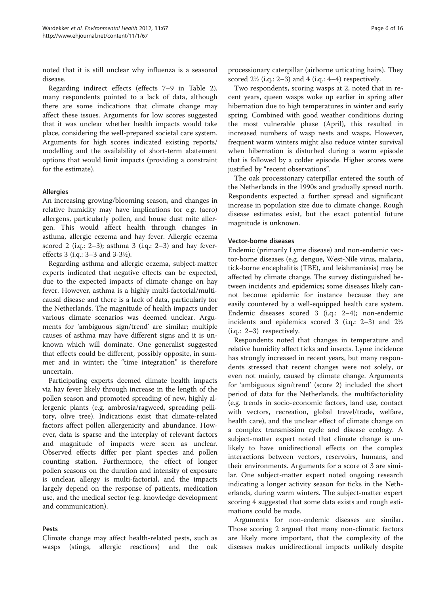noted that it is still unclear why influenza is a seasonal disease.

Regarding indirect effects (effects 7–9 in Table [2](#page-4-0)), many respondents pointed to a lack of data, although there are some indications that climate change may affect these issues. Arguments for low scores suggested that it was unclear whether health impacts would take place, considering the well-prepared societal care system. Arguments for high scores indicated existing reports/ modelling and the availability of short-term abatement options that would limit impacts (providing a constraint for the estimate).

#### **Allergies**

An increasing growing/blooming season, and changes in relative humidity may have implications for e.g. (aero) allergens, particularly pollen, and house dust mite allergen. This would affect health through changes in asthma, allergic eczema and hay fever. Allergic eczema scored 2 (i.q.: 2–3); asthma 3 (i.q.: 2–3) and hay fevereffects 3 (i.q.: 3–3 and 3-3½).

Regarding asthma and allergic eczema, subject-matter experts indicated that negative effects can be expected, due to the expected impacts of climate change on hay fever. However, asthma is a highly multi-factorial/multicausal disease and there is a lack of data, particularly for the Netherlands. The magnitude of health impacts under various climate scenarios was deemed unclear. Arguments for 'ambiguous sign/trend' are similar; multiple causes of asthma may have different signs and it is unknown which will dominate. One generalist suggested that effects could be different, possibly opposite, in summer and in winter; the "time integration" is therefore uncertain.

Participating experts deemed climate health impacts via hay fever likely through increase in the length of the pollen season and promoted spreading of new, highly allergenic plants (e.g. ambrosia/ragweed, spreading pellitory, olive tree). Indications exist that climate-related factors affect pollen allergenicity and abundance. However, data is sparse and the interplay of relevant factors and magnitude of impacts were seen as unclear. Observed effects differ per plant species and pollen counting station. Furthermore, the effect of longer pollen seasons on the duration and intensity of exposure is unclear, allergy is multi-factorial, and the impacts largely depend on the response of patients, medication use, and the medical sector (e.g. knowledge development and communication).

#### Pests

Climate change may affect health-related pests, such as wasps (stings, allergic reactions) and the oak

processionary caterpillar (airborne urticating hairs). They scored  $2\frac{1}{2}$  (i.q.: 2–3) and 4 (i.q.: 4–4) respectively.

Two respondents, scoring wasps at 2, noted that in recent years, queen wasps woke up earlier in spring after hibernation due to high temperatures in winter and early spring. Combined with good weather conditions during the most vulnerable phase (April), this resulted in increased numbers of wasp nests and wasps. However, frequent warm winters might also reduce winter survival when hibernation is disturbed during a warm episode that is followed by a colder episode. Higher scores were justified by "recent observations".

The oak processionary caterpillar entered the south of the Netherlands in the 1990s and gradually spread north. Respondents expected a further spread and significant increase in population size due to climate change. Rough disease estimates exist, but the exact potential future magnitude is unknown.

#### Vector-borne diseases

Endemic (primarily Lyme disease) and non-endemic vector-borne diseases (e.g. dengue, West-Nile virus, malaria, tick-borne encephalitis (TBE), and leishmaniasis) may be affected by climate change. The survey distinguished between incidents and epidemics; some diseases likely cannot become epidemic for instance because they are easily countered by a well-equipped health care system. Endemic diseases scored 3 (i.q.: 2–4); non-endemic incidents and epidemics scored 3 (i.q.: 2–3) and 2½ (i.q.: 2–3) respectively.

Respondents noted that changes in temperature and relative humidity affect ticks and insects. Lyme incidence has strongly increased in recent years, but many respondents stressed that recent changes were not solely, or even not mainly, caused by climate change. Arguments for 'ambiguous sign/trend' (score 2) included the short period of data for the Netherlands, the multifactoriality (e.g. trends in socio-economic factors, land use, contact with vectors, recreation, global travel/trade, welfare, health care), and the unclear effect of climate change on a complex transmission cycle and disease ecology. A subject-matter expert noted that climate change is unlikely to have unidirectional effects on the complex interactions between vectors, reservoirs, humans, and their environments. Arguments for a score of 3 are similar. One subject-matter expert noted ongoing research indicating a longer activity season for ticks in the Netherlands, during warm winters. The subject-matter expert scoring 4 suggested that some data exists and rough estimations could be made.

Arguments for non-endemic diseases are similar. Those scoring 2 argued that many non-climatic factors are likely more important, that the complexity of the diseases makes unidirectional impacts unlikely despite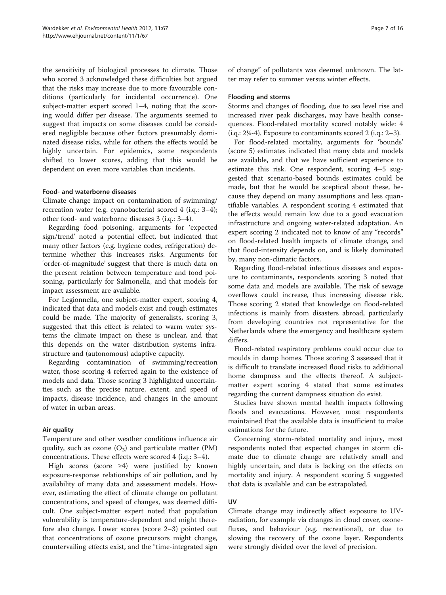the sensitivity of biological processes to climate. Those who scored 3 acknowledged these difficulties but argued that the risks may increase due to more favourable conditions (particularly for incidental occurrence). One subject-matter expert scored 1–4, noting that the scoring would differ per disease. The arguments seemed to suggest that impacts on some diseases could be considered negligible because other factors presumably dominated disease risks, while for others the effects would be highly uncertain. For epidemics, some respondents shifted to lower scores, adding that this would be dependent on even more variables than incidents.

#### Food- and waterborne diseases

Climate change impact on contamination of swimming/ recreation water (e.g. cyanobacteria) scored 4 (i.q.: 3–4); other food- and waterborne diseases 3 (i.q.: 3–4).

Regarding food poisoning, arguments for 'expected sign/trend' noted a potential effect, but indicated that many other factors (e.g. hygiene codes, refrigeration) determine whether this increases risks. Arguments for 'order-of-magnitude' suggest that there is much data on the present relation between temperature and food poisoning, particularly for Salmonella, and that models for impact assessment are available.

For Legionnella, one subject-matter expert, scoring 4, indicated that data and models exist and rough estimates could be made. The majority of generalists, scoring 3, suggested that this effect is related to warm water systems the climate impact on these is unclear, and that this depends on the water distribution systems infrastructure and (autonomous) adaptive capacity.

Regarding contamination of swimming/recreation water, those scoring 4 referred again to the existence of models and data. Those scoring 3 highlighted uncertainties such as the precise nature, extent, and speed of impacts, disease incidence, and changes in the amount of water in urban areas.

# Air quality

Temperature and other weather conditions influence air quality, such as ozone  $(O_3)$  and particulate matter (PM) concentrations. These effects were scored 4 (i.q.: 3–4).

High scores (score ≥4) were justified by known exposure-response relationships of air pollution, and by availability of many data and assessment models. However, estimating the effect of climate change on pollutant concentrations, and speed of changes, was deemed difficult. One subject-matter expert noted that population vulnerability is temperature-dependent and might therefore also change. Lower scores (score 2–3) pointed out that concentrations of ozone precursors might change, countervailing effects exist, and the "time-integrated sign of change" of pollutants was deemed unknown. The latter may refer to summer versus winter effects.

#### Flooding and storms

Storms and changes of flooding, due to sea level rise and increased river peak discharges, may have health consequences. Flood-related mortality scored notably wide: 4  $(i.q.: 2\frac{1}{4}-4)$ . Exposure to contaminants scored 2  $(i.q.: 2-3)$ .

For flood-related mortality, arguments for 'bounds' (score 5) estimates indicated that many data and models are available, and that we have sufficient experience to estimate this risk. One respondent, scoring 4–5 suggested that scenario-based bounds estimates could be made, but that he would be sceptical about these, because they depend on many assumptions and less quantifiable variables. A respondent scoring 4 estimated that the effects would remain low due to a good evacuation infrastructure and ongoing water-related adaptation. An expert scoring 2 indicated not to know of any "records" on flood-related health impacts of climate change, and that flood-intensity depends on, and is likely dominated by, many non-climatic factors.

Regarding flood-related infectious diseases and exposure to contaminants, respondents scoring 3 noted that some data and models are available. The risk of sewage overflows could increase, thus increasing disease risk. Those scoring 2 stated that knowledge on flood-related infections is mainly from disasters abroad, particularly from developing countries not representative for the Netherlands where the emergency and healthcare system differs.

Flood-related respiratory problems could occur due to moulds in damp homes. Those scoring 3 assessed that it is difficult to translate increased flood risks to additional home dampness and the effects thereof. A subjectmatter expert scoring 4 stated that some estimates regarding the current dampness situation do exist.

Studies have shown mental health impacts following floods and evacuations. However, most respondents maintained that the available data is insufficient to make estimations for the future.

Concerning storm-related mortality and injury, most respondents noted that expected changes in storm climate due to climate change are relatively small and highly uncertain, and data is lacking on the effects on mortality and injury. A respondent scoring 5 suggested that data is available and can be extrapolated.

# UV

Climate change may indirectly affect exposure to UVradiation, for example via changes in cloud cover, ozonefluxes, and behaviour (e.g. recreational), or due to slowing the recovery of the ozone layer. Respondents were strongly divided over the level of precision.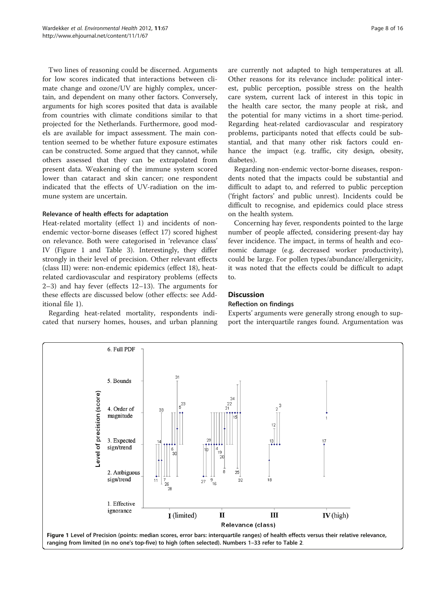Two lines of reasoning could be discerned. Arguments for low scores indicated that interactions between climate change and ozone/UV are highly complex, uncertain, and dependent on many other factors. Conversely, arguments for high scores posited that data is available from countries with climate conditions similar to that projected for the Netherlands. Furthermore, good models are available for impact assessment. The main contention seemed to be whether future exposure estimates can be constructed. Some argued that they cannot, while others assessed that they can be extrapolated from present data. Weakening of the immune system scored lower than cataract and skin cancer; one respondent indicated that the effects of UV-radiation on the immune system are uncertain.

#### Relevance of health effects for adaptation

Heat-related mortality (effect 1) and incidents of nonendemic vector-borne diseases (effect 17) scored highest on relevance. Both were categorised in 'relevance class' IV (Figure 1 and Table [3](#page-8-0)). Interestingly, they differ strongly in their level of precision. Other relevant effects (class III) were: non-endemic epidemics (effect 18), heatrelated cardiovascular and respiratory problems (effects 2–3) and hay fever (effects 12–13). The arguments for these effects are discussed below (other effects: see Additional file [1\)](#page-14-0).

Regarding heat-related mortality, respondents indicated that nursery homes, houses, and urban planning are currently not adapted to high temperatures at all. Other reasons for its relevance include: political interest, public perception, possible stress on the health care system, current lack of interest in this topic in the health care sector, the many people at risk, and the potential for many victims in a short time-period. Regarding heat-related cardiovascular and respiratory problems, participants noted that effects could be substantial, and that many other risk factors could enhance the impact (e.g. traffic, city design, obesity, diabetes).

Regarding non-endemic vector-borne diseases, respondents noted that the impacts could be substantial and difficult to adapt to, and referred to public perception ('fright factors' and public unrest). Incidents could be difficult to recognise, and epidemics could place stress on the health system.

Concerning hay fever, respondents pointed to the large number of people affected, considering present-day hay fever incidence. The impact, in terms of health and economic damage (e.g. decreased worker productivity), could be large. For pollen types/abundance/allergenicity, it was noted that the effects could be difficult to adapt to.

# **Discussion**

#### Reflection on findings

Experts' arguments were generally strong enough to support the interquartile ranges found. Argumentation was

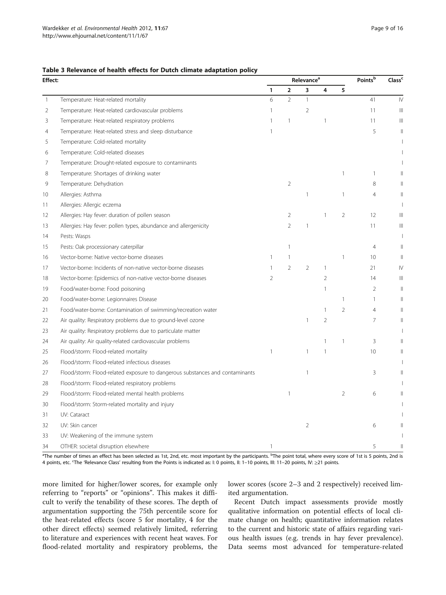#### <span id="page-8-0"></span>Table 3 Relevance of health effects for Dutch climate adaptation policy

| Effect:      |                                                                              | Relevance <sup>a</sup> |                |                |                |                | Pointsb        | Class <sup>c</sup>                 |
|--------------|------------------------------------------------------------------------------|------------------------|----------------|----------------|----------------|----------------|----------------|------------------------------------|
|              |                                                                              | 1                      | $\overline{2}$ | 3              | 4              | 5              |                |                                    |
| $\mathbf{1}$ | Temperature: Heat-related mortality                                          | 6                      | $\overline{2}$ | $\mathbf{1}$   |                |                | 41             | $\mathsf{IV}$                      |
| 2            | Temperature: Heat-related cardiovascular problems                            | $\mathbf{1}$           |                | $\overline{2}$ |                |                | 11             | $\mathbb{H}$                       |
| 3            | Temperature: Heat-related respiratory problems                               | 1                      | $\mathbf{1}$   |                | 1              |                | 11             | Ш                                  |
| 4            | Temperature: Heat-related stress and sleep disturbance                       | 1                      |                |                |                |                | 5              | $\mathbf{  }$                      |
| 5            | Temperature: Cold-related mortality                                          |                        |                |                |                |                |                |                                    |
| 6            | Temperature: Cold-related diseases                                           |                        |                |                |                |                |                |                                    |
| 7            | Temperature: Drought-related exposure to contaminants                        |                        |                |                |                |                |                |                                    |
| 8            | Temperature: Shortages of drinking water                                     |                        |                |                |                | $\mathbf{1}$   | $\mathbf{1}$   | Ш                                  |
| 9            | Temperature: Dehydration                                                     |                        | $\overline{2}$ |                |                |                | 8              | $\mathsf{I}$                       |
| 10           | Allergies: Asthma                                                            |                        |                | $\mathbf{1}$   |                | $\mathbf{1}$   | $\overline{4}$ | $\begin{array}{c} \Pi \end{array}$ |
| 11           | Allergies: Allergic eczema                                                   |                        |                |                |                |                |                |                                    |
| 12           | Allergies: Hay fever: duration of pollen season                              |                        | $\overline{2}$ |                | 1              | $\overline{2}$ | 12             | $\mathbf{III}$                     |
| 13           | Allergies: Hay fever: pollen types, abundance and allergenicity              |                        | $\overline{2}$ | $\mathbf{1}$   |                |                | 11             | $\ensuremath{\mathsf{III}}\xspace$ |
| 14           | Pests: Wasps                                                                 |                        |                |                |                |                |                |                                    |
| 15           | Pests: Oak processionary caterpillar                                         |                        | $\mathbf{1}$   |                |                |                | $\overline{4}$ | $\mathbf{I}$                       |
| 16           | Vector-borne: Native vector-borne diseases                                   | 1                      | $\mathbf{1}$   |                |                | $\mathbf{1}$   | 10             | $\mathbf{I}$                       |
| 17           | Vector-borne: Incidents of non-native vector-borne diseases                  | 1                      | $\overline{2}$ | 2              | $\mathbf{1}$   |                | 21             | $\mathsf{IV}$                      |
| 18           | Vector-borne: Epidemics of non-native vector-borne diseases                  | $\overline{2}$         |                |                | $\overline{2}$ |                | 14             | $\mathbb{H}$                       |
| 19           | Food/water-borne: Food poisoning                                             |                        |                |                | $\mathbf{1}$   |                | $\overline{2}$ | $\mathbf{  }$                      |
| 20           | Food/water-borne: Legionnaires Disease                                       |                        |                |                |                | $\mathbf{1}$   | $\mathbf{1}$   | $\mathbf{  }$                      |
| 21           | Food/water-borne: Contamination of swimming/recreation water                 |                        |                |                | $\mathbf{1}$   | $\overline{2}$ | 4              | $\mathbf{  }$                      |
| 22           | Air quality: Respiratory problems due to ground-level ozone                  |                        |                | $\mathbf{1}$   | $\overline{2}$ |                | 7              | $\mathbf{I}$                       |
| 23           | Air quality: Respiratory problems due to particulate matter                  |                        |                |                |                |                |                |                                    |
| 24           | Air quality: Air quality-related cardiovascular problems                     |                        |                |                | $\mathbf{1}$   | $\mathbf{1}$   | 3              | $\mathsf{I}$                       |
| 25           | Flood/storm: Flood-related mortality                                         | $\mathbf{1}$           |                | $\overline{1}$ | $\mathbf{1}$   |                | 10             | $\mathbf{I}$                       |
| 26           | Flood/storm: Flood-related infectious diseases                               |                        |                |                |                |                |                |                                    |
| 27           | Flood/storm: Flood-related exposure to dangerous substances and contaminants |                        |                | $\mathbf{1}$   |                |                | 3              | $\mathsf{I}$                       |
| 28           | Flood/storm: Flood-related respiratory problems                              |                        |                |                |                |                |                |                                    |
| 29           | Flood/storm: Flood-related mental health problems                            |                        | $\mathbf{1}$   |                |                | $\overline{2}$ | 6              |                                    |
| 30           | Flood/storm: Storm-related mortality and injury                              |                        |                |                |                |                |                |                                    |
| 31           | UV: Cataract                                                                 |                        |                |                |                |                |                |                                    |
| 32           | UV: Skin cancer                                                              |                        |                | $\overline{2}$ |                |                | 6              | $\mathbb{I}$                       |
| 33           | UV: Weakening of the immune system                                           |                        |                |                |                |                |                |                                    |
| 34           | OTHER: societal disruption elsewhere                                         | $\mathbf{1}$           |                |                |                |                | 5              | $\mathbf{I}$                       |

<sup>a</sup>The number of times an effect has been selected as 1st, 2nd, etc. most important by the participants. <sup>b</sup>The point total, where every score of 1st is 5 points, 2nd is 4 points, etc. <sup>c</sup>The 'Relevance Class' resulting from the Points is indicated as: I: 0 points, II: 1–10 points, III: 11–20 points, IV: ≥21 points.

more limited for higher/lower scores, for example only referring to "reports" or "opinions". This makes it difficult to verify the tenability of these scores. The depth of argumentation supporting the 75th percentile score for the heat-related effects (score 5 for mortality, 4 for the other direct effects) seemed relatively limited, referring to literature and experiences with recent heat waves. For flood-related mortality and respiratory problems, the

lower scores (score 2–3 and 2 respectively) received limited argumentation.

Recent Dutch impact assessments provide mostly qualitative information on potential effects of local climate change on health; quantitative information relates to the current and historic state of affairs regarding various health issues (e.g. trends in hay fever prevalence). Data seems most advanced for temperature-related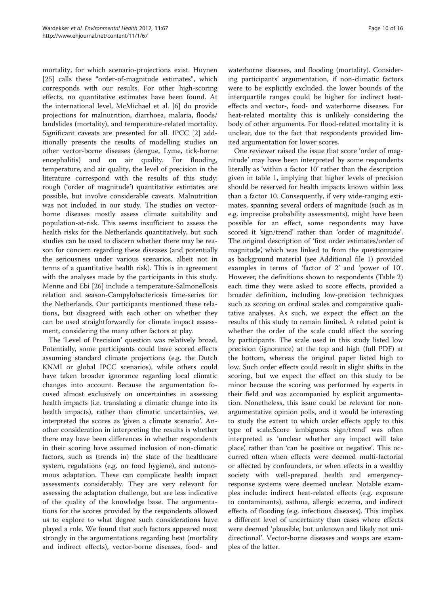mortality, for which scenario-projections exist. Huynen [[25\]](#page-14-0) calls these "order-of-magnitude estimates", which corresponds with our results. For other high-scoring effects, no quantitative estimates have been found. At the international level, McMichael et al. [\[6](#page-14-0)] do provide projections for malnutrition, diarrhoea, malaria, floods/ landslides (mortality), and temperature-related mortality. Significant caveats are presented for all. IPCC [[2\]](#page-14-0) additionally presents the results of modelling studies on other vector-borne diseases (dengue, Lyme, tick-borne encephalitis) and on air quality. For flooding, temperature, and air quality, the level of precision in the literature correspond with the results of this study: rough ('order of magnitude') quantitative estimates are possible, but involve considerable caveats. Malnutrition was not included in our study. The studies on vectorborne diseases mostly assess climate suitability and population-at-risk. This seems insufficient to assess the health risks for the Netherlands quantitatively, but such studies can be used to discern whether there may be reason for concern regarding these diseases (and potentially the seriousness under various scenarios, albeit not in terms of a quantitative health risk). This is in agreement with the analyses made by the participants in this study. Menne and Ebi [[26\]](#page-14-0) include a temperature-Salmonellosis relation and season-Campylobacteriosis time-series for the Netherlands. Our participants mentioned these relations, but disagreed with each other on whether they can be used straightforwardly for climate impact assessment, considering the many other factors at play.

The 'Level of Precision' question was relatively broad. Potentially, some participants could have scored effects assuming standard climate projections (e.g. the Dutch KNMI or global IPCC scenarios), while others could have taken broader ignorance regarding local climatic changes into account. Because the argumentation focused almost exclusively on uncertainties in assessing health impacts (i.e. translating a climatic change into its health impacts), rather than climatic uncertainties, we interpreted the scores as 'given a climate scenario'. Another consideration in interpreting the results is whether there may have been differences in whether respondents in their scoring have assumed inclusion of non-climatic factors, such as (trends in) the state of the healthcare system, regulations (e.g. on food hygiene), and autonomous adaptation. These can complicate health impact assessments considerably. They are very relevant for assessing the adaptation challenge, but are less indicative of the quality of the knowledge base. The argumentations for the scores provided by the respondents allowed us to explore to what degree such considerations have played a role. We found that such factors appeared most strongly in the argumentations regarding heat (mortality and indirect effects), vector-borne diseases, food- and

waterborne diseases, and flooding (mortality). Considering participants' argumentation, if non-climatic factors were to be explicitly excluded, the lower bounds of the interquartile ranges could be higher for indirect heateffects and vector-, food- and waterborne diseases. For heat-related mortality this is unlikely considering the body of other arguments. For flood-related mortality it is unclear, due to the fact that respondents provided limited argumentation for lower scores.

One reviewer raised the issue that score 'order of magnitude' may have been interpreted by some respondents literally as 'within a factor 10' rather than the description given in table [1,](#page-2-0) implying that higher levels of precision should be reserved for health impacts known within less than a factor 10. Consequently, if very wide-ranging estimates, spanning several orders of magnitude (such as in e.g. imprecise probability assessments), might have been possible for an effect, some respondents may have scored it 'sign/trend' rather than 'order of magnitude'. The original description of 'first order estimates/order of magnitude', which was linked to from the questionnaire as background material (see Additional file [1](#page-14-0)) provided examples in terms of 'factor of 2' and 'power of 10'. However, the definitions shown to respondents (Table [2](#page-4-0)) each time they were asked to score effects, provided a broader definition, including low-precision techniques such as scoring on ordinal scales and comparative qualitative analyses. As such, we expect the effect on the results of this study to remain limited. A related point is whether the order of the scale could affect the scoring by participants. The scale used in this study listed low precision (ignorance) at the top and high (full PDF) at the bottom, whereas the original paper listed high to low. Such order effects could result in slight shifts in the scoring, but we expect the effect on this study to be minor because the scoring was performed by experts in their field and was accompanied by explicit argumentation. Nonetheless, this issue could be relevant for nonargumentative opinion polls, and it would be interesting to study the extent to which order effects apply to this type of scale.Score 'ambiguous sign/trend' was often interpreted as 'unclear whether any impact will take place', rather than 'can be positive or negative'. This occurred often when effects were deemed multi-factorial or affected by confounders, or when effects in a wealthy society with well-prepared health and emergencyresponse systems were deemed unclear. Notable examples include: indirect heat-related effects (e.g. exposure to contaminants), asthma, allergic eczema, and indirect effects of flooding (e.g. infectious diseases). This implies a different level of uncertainty than cases where effects were deemed 'plausible, but unknown and likely not unidirectional'. Vector-borne diseases and wasps are examples of the latter.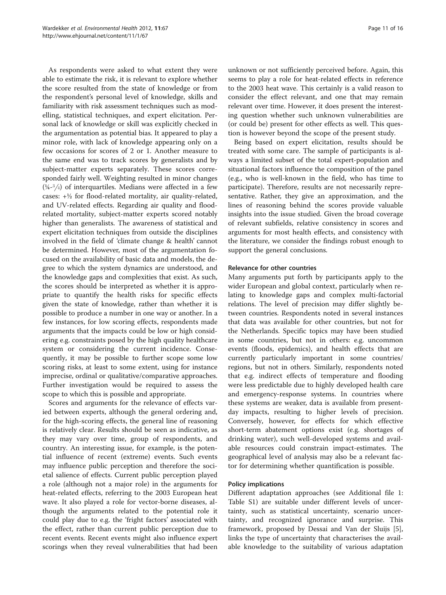As respondents were asked to what extent they were able to estimate the risk, it is relevant to explore whether the score resulted from the state of knowledge or from the respondent's personal level of knowledge, skills and familiarity with risk assessment techniques such as modelling, statistical techniques, and expert elicitation. Personal lack of knowledge or skill was explicitly checked in the argumentation as potential bias. It appeared to play a minor role, with lack of knowledge appearing only on a few occasions for scores of 2 or 1. Another measure to the same end was to track scores by generalists and by subject-matter experts separately. These scores corresponded fairly well. Weighting resulted in minor changes  $(\frac{1}{4}-\frac{3}{4})$  of interquartiles. Medians were affected in a few cases:  $+\frac{1}{2}$  for flood-related mortality, air quality-related, and UV-related effects. Regarding air quality and floodrelated mortality, subject-matter experts scored notably higher than generalists. The awareness of statistical and expert elicitation techniques from outside the disciplines involved in the field of 'climate change & health' cannot be determined. However, most of the argumentation focused on the availability of basic data and models, the degree to which the system dynamics are understood, and the knowledge gaps and complexities that exist. As such, the scores should be interpreted as whether it is appropriate to quantify the health risks for specific effects given the state of knowledge, rather than whether it is possible to produce a number in one way or another. In a few instances, for low scoring effects, respondents made arguments that the impacts could be low or high considering e.g. constraints posed by the high quality healthcare system or considering the current incidence. Consequently, it may be possible to further scope some low scoring risks, at least to some extent, using for instance imprecise, ordinal or qualitative/comparative approaches. Further investigation would be required to assess the scope to which this is possible and appropriate.

Scores and arguments for the relevance of effects varied between experts, although the general ordering and, for the high-scoring effects, the general line of reasoning is relatively clear. Results should be seen as indicative, as they may vary over time, group of respondents, and country. An interesting issue, for example, is the potential influence of recent (extreme) events. Such events may influence public perception and therefore the societal salience of effects. Current public perception played a role (although not a major role) in the arguments for heat-related effects, referring to the 2003 European heat wave. It also played a role for vector-borne diseases, although the arguments related to the potential role it could play due to e.g. the 'fright factors' associated with the effect, rather than current public perception due to recent events. Recent events might also influence expert scorings when they reveal vulnerabilities that had been

unknown or not sufficiently perceived before. Again, this seems to play a role for heat-related effects in reference to the 2003 heat wave. This certainly is a valid reason to consider the effect relevant, and one that may remain relevant over time. However, it does present the interesting question whether such unknown vulnerabilities are (or could be) present for other effects as well. This question is however beyond the scope of the present study.

Being based on expert elicitation, results should be treated with some care. The sample of participants is always a limited subset of the total expert-population and situational factors influence the composition of the panel (e.g., who is well-known in the field, who has time to participate). Therefore, results are not necessarily representative. Rather, they give an approximation, and the lines of reasoning behind the scores provide valuable insights into the issue studied. Given the broad coverage of relevant subfields, relative consistency in scores and arguments for most health effects, and consistency with the literature, we consider the findings robust enough to support the general conclusions.

#### Relevance for other countries

Many arguments put forth by participants apply to the wider European and global context, particularly when relating to knowledge gaps and complex multi-factorial relations. The level of precision may differ slightly between countries. Respondents noted in several instances that data was available for other countries, but not for the Netherlands. Specific topics may have been studied in some countries, but not in others: e.g. uncommon events (floods, epidemics), and health effects that are currently particularly important in some countries/ regions, but not in others. Similarly, respondents noted that e.g. indirect effects of temperature and flooding were less predictable due to highly developed health care and emergency-response systems. In countries where these systems are weaker, data is available from presentday impacts, resulting to higher levels of precision. Conversely, however, for effects for which effective short-term abatement options exist (e.g. shortages of drinking water), such well-developed systems and available resources could constrain impact-estimates. The geographical level of analysis may also be a relevant factor for determining whether quantification is possible.

#### Policy implications

Different adaptation approaches (see Additional file [1](#page-14-0): Table S1) are suitable under different levels of uncertainty, such as statistical uncertainty, scenario uncertainty, and recognized ignorance and surprise. This framework, proposed by Dessai and Van der Sluijs [\[5](#page-14-0)], links the type of uncertainty that characterises the available knowledge to the suitability of various adaptation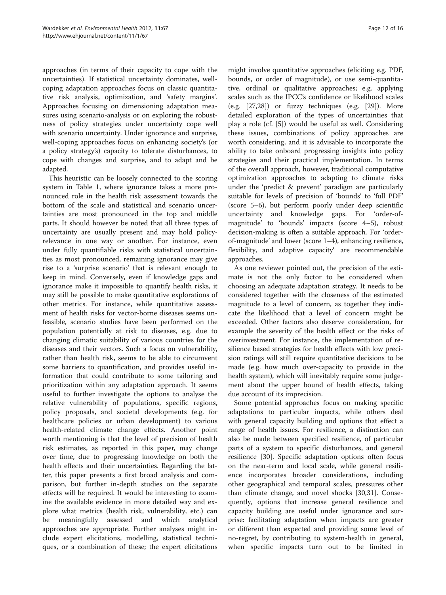approaches (in terms of their capacity to cope with the uncertainties). If statistical uncertainty dominates, wellcoping adaptation approaches focus on classic quantitative risk analysis, optimization, and 'safety margins'. Approaches focusing on dimensioning adaptation measures using scenario-analysis or on exploring the robustness of policy strategies under uncertainty cope well with scenario uncertainty. Under ignorance and surprise, well-coping approaches focus on enhancing society's (or a policy strategy's) capacity to tolerate disturbances, to cope with changes and surprise, and to adapt and be adapted.

This heuristic can be loosely connected to the scoring system in Table [1,](#page-2-0) where ignorance takes a more pronounced role in the health risk assessment towards the bottom of the scale and statistical and scenario uncertainties are most pronounced in the top and middle parts. It should however be noted that all three types of uncertainty are usually present and may hold policyrelevance in one way or another. For instance, even under fully quantifiable risks with statistical uncertainties as most pronounced, remaining ignorance may give rise to a 'surprise scenario' that is relevant enough to keep in mind. Conversely, even if knowledge gaps and ignorance make it impossible to quantify health risks, it may still be possible to make quantitative explorations of other metrics. For instance, while quantitative assessment of health risks for vector-borne diseases seems unfeasible, scenario studies have been performed on the population potentially at risk to diseases, e.g. due to changing climatic suitability of various countries for the diseases and their vectors. Such a focus on vulnerability, rather than health risk, seems to be able to circumvent some barriers to quantification, and provides useful information that could contribute to some tailoring and prioritization within any adaptation approach. It seems useful to further investigate the options to analyse the relative vulnerability of populations, specific regions, policy proposals, and societal developments (e.g. for healthcare policies or urban development) to various health-related climate change effects. Another point worth mentioning is that the level of precision of health risk estimates, as reported in this paper, may change over time, due to progressing knowledge on both the health effects and their uncertainties. Regarding the latter, this paper presents a first broad analysis and comparison, but further in-depth studies on the separate effects will be required. It would be interesting to examine the available evidence in more detailed way and explore what metrics (health risk, vulnerability, etc.) can be meaningfully assessed and which analytical approaches are appropriate. Further analyses might include expert elicitations, modelling, statistical techniques, or a combination of these; the expert elicitations might involve quantitative approaches (eliciting e.g. PDF, bounds, or order of magnitude), or use semi-quantitative, ordinal or qualitative approaches; e.g. applying scales such as the IPCC's confidence or likelihood scales (e.g. [[27,28\]](#page-14-0)) or fuzzy techniques (e.g. [[29](#page-14-0)]). More detailed exploration of the types of uncertainties that play a role (cf. [\[5](#page-14-0)]) would be useful as well. Considering these issues, combinations of policy approaches are worth considering, and it is advisable to incorporate the ability to take onboard progressing insights into policy strategies and their practical implementation. In terms of the overall approach, however, traditional computative optimization approaches to adapting to climate risks under the 'predict & prevent' paradigm are particularly suitable for levels of precision of 'bounds' to 'full PDF' (score 5–6), but perform poorly under deep scientific uncertainty and knowledge gaps. For 'order-ofmagnitude' to 'bounds' impacts (score 4–5), robust decision-making is often a suitable approach. For 'orderof-magnitude' and lower (score 1–4), enhancing resilience, flexibility, and adaptive capacity<sup>c</sup> are recommendable approaches.

As one reviewer pointed out, the precision of the estimate is not the only factor to be considered when choosing an adequate adaptation strategy. It needs to be considered together with the closeness of the estimated magnitude to a level of concern, as together they indicate the likelihood that a level of concern might be exceeded. Other factors also deserve consideration, for example the severity of the health effect or the risks of overinvestment. For instance, the implementation of resilience based strategies for health effects with low precision ratings will still require quantitative decisions to be made (e.g. how much over-capacity to provide in the health system), which will inevitably require some judgement about the upper bound of health effects, taking due account of its imprecision.

Some potential approaches focus on making specific adaptations to particular impacts, while others deal with general capacity building and options that effect a range of health issues. For resilience, a distinction can also be made between specified resilience, of particular parts of a system to specific disturbances, and general resilience [\[30\]](#page-14-0). Specific adaptation options often focus on the near-term and local scale, while general resilience incorporates broader considerations, including other geographical and temporal scales, pressures other than climate change, and novel shocks [\[30,31\]](#page-14-0). Consequently, options that increase general resilience and capacity building are useful under ignorance and surprise: facilitating adaptation when impacts are greater or different than expected and providing some level of no-regret, by contributing to system-health in general, when specific impacts turn out to be limited in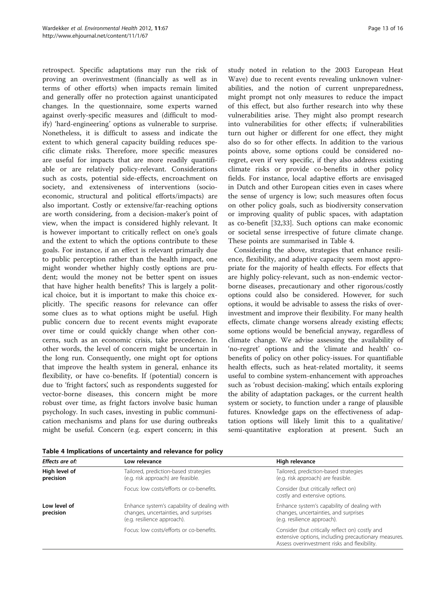retrospect. Specific adaptations may run the risk of proving an overinvestment (financially as well as in terms of other efforts) when impacts remain limited and generally offer no protection against unanticipated changes. In the questionnaire, some experts warned against overly-specific measures and (difficult to modify) 'hard-engineering' options as vulnerable to surprise. Nonetheless, it is difficult to assess and indicate the extent to which general capacity building reduces specific climate risks. Therefore, more specific measures are useful for impacts that are more readily quantifiable or are relatively policy-relevant. Considerations such as costs, potential side-effects, encroachment on society, and extensiveness of interventions (socioeconomic, structural and political efforts/impacts) are also important. Costly or extensive/far-reaching options are worth considering, from a decision-maker's point of view, when the impact is considered highly relevant. It is however important to critically reflect on one's goals and the extent to which the options contribute to these goals. For instance, if an effect is relevant primarily due to public perception rather than the health impact, one might wonder whether highly costly options are prudent; would the money not be better spent on issues that have higher health benefits? This is largely a political choice, but it is important to make this choice explicitly. The specific reasons for relevance can offer some clues as to what options might be useful. High public concern due to recent events might evaporate over time or could quickly change when other concerns, such as an economic crisis, take precedence. In other words, the level of concern might be uncertain in the long run. Consequently, one might opt for options that improve the health system in general, enhance its flexibility, or have co-benefits. If (potential) concern is due to 'fright factors', such as respondents suggested for vector-borne diseases, this concern might be more robust over time, as fright factors involve basic human psychology. In such cases, investing in public communication mechanisms and plans for use during outbreaks might be useful. Concern (e.g. expert concern; in this study noted in relation to the 2003 European Heat Wave) due to recent events revealing unknown vulnerabilities, and the notion of current unpreparedness, might prompt not only measures to reduce the impact of this effect, but also further research into why these vulnerabilities arise. They might also prompt research into vulnerabilities for other effects; if vulnerabilities turn out higher or different for one effect, they might also do so for other effects. In addition to the various points above, some options could be considered noregret, even if very specific, if they also address existing climate risks or provide co-benefits in other policy fields. For instance, local adaptive efforts are envisaged in Dutch and other European cities even in cases where the sense of urgency is low; such measures often focus on other policy goals, such as biodiversity conservation or improving quality of public spaces, with adaptation as co-benefit [\[32,33\]](#page-15-0). Such options can make economic or societal sense irrespective of future climate change. These points are summarised in Table 4.

Considering the above, strategies that enhance resilience, flexibility, and adaptive capacity seem most appropriate for the majority of health effects. For effects that are highly policy-relevant, such as non-endemic vectorborne diseases, precautionary and other rigorous/costly options could also be considered. However, for such options, it would be advisable to assess the risks of overinvestment and improve their flexibility. For many health effects, climate change worsens already existing effects; some options would be beneficial anyway, regardless of climate change. We advise assessing the availability of 'no-regret' options and the 'climate and health' cobenefits of policy on other policy-issues. For quantifiable health effects, such as heat-related mortality, it seems useful to combine system-enhancement with approaches such as 'robust decision-making', which entails exploring the ability of adaptation packages, or the current health system or society, to function under a range of plausible futures. Knowledge gaps on the effectiveness of adaptation options will likely limit this to a qualitative/ semi-quantitative exploration at present. Such an

Table 4 Implications of uncertainty and relevance for policy

| Effects are of:            | Low relevance                                                                                                       | High relevance                                                                                                                                          |
|----------------------------|---------------------------------------------------------------------------------------------------------------------|---------------------------------------------------------------------------------------------------------------------------------------------------------|
| High level of<br>precision | Tailored, prediction-based strategies<br>(e.g. risk approach) are feasible.                                         | Tailored, prediction-based strategies<br>(e.g. risk approach) are feasible.                                                                             |
|                            | Focus: low costs/efforts or co-benefits.                                                                            | Consider (but critically reflect on)<br>costly and extensive options.                                                                                   |
| Low level of<br>precision  | Enhance system's capability of dealing with<br>changes, uncertainties, and surprises<br>(e.g. resilience approach). | Enhance system's capability of dealing with<br>changes, uncertainties, and surprises<br>(e.g. resilience approach).                                     |
|                            | Focus: low costs/efforts or co-benefits.                                                                            | Consider (but critically reflect on) costly and<br>extensive options, including precautionary measures.<br>Assess overinvestment risks and flexibility. |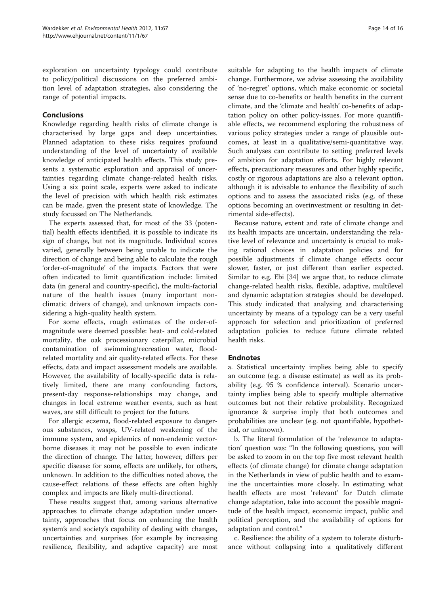exploration on uncertainty typology could contribute to policy/political discussions on the preferred ambition level of adaptation strategies, also considering the range of potential impacts.

#### Conclusions

Knowledge regarding health risks of climate change is characterised by large gaps and deep uncertainties. Planned adaptation to these risks requires profound understanding of the level of uncertainty of available knowledge of anticipated health effects. This study presents a systematic exploration and appraisal of uncertainties regarding climate change-related health risks. Using a six point scale, experts were asked to indicate the level of precision with which health risk estimates can be made, given the present state of knowledge. The study focussed on The Netherlands.

The experts assessed that, for most of the 33 (potential) health effects identified, it is possible to indicate its sign of change, but not its magnitude. Individual scores varied, generally between being unable to indicate the direction of change and being able to calculate the rough 'order-of-magnitude' of the impacts. Factors that were often indicated to limit quantification include: limited data (in general and country-specific), the multi-factorial nature of the health issues (many important nonclimatic drivers of change), and unknown impacts considering a high-quality health system.

For some effects, rough estimates of the order-ofmagnitude were deemed possible: heat- and cold-related mortality, the oak processionary caterpillar, microbial contamination of swimming/recreation water, floodrelated mortality and air quality-related effects. For these effects, data and impact assessment models are available. However, the availability of locally-specific data is relatively limited, there are many confounding factors, present-day response-relationships may change, and changes in local extreme weather events, such as heat waves, are still difficult to project for the future.

For allergic eczema, flood-related exposure to dangerous substances, wasps, UV-related weakening of the immune system, and epidemics of non-endemic vectorborne diseases it may not be possible to even indicate the direction of change. The latter, however, differs per specific disease: for some, effects are unlikely, for others, unknown. In addition to the difficulties noted above, the cause-effect relations of these effects are often highly complex and impacts are likely multi-directional.

These results suggest that, among various alternative approaches to climate change adaptation under uncertainty, approaches that focus on enhancing the health system's and society's capability of dealing with changes, uncertainties and surprises (for example by increasing resilience, flexibility, and adaptive capacity) are most

suitable for adapting to the health impacts of climate change. Furthermore, we advise assessing the availability of 'no-regret' options, which make economic or societal sense due to co-benefits or health benefits in the current climate, and the 'climate and health' co-benefits of adaptation policy on other policy-issues. For more quantifiable effects, we recommend exploring the robustness of various policy strategies under a range of plausible outcomes, at least in a qualitative/semi-quantitative way. Such analyses can contribute to setting preferred levels of ambition for adaptation efforts. For highly relevant effects, precautionary measures and other highly specific, costly or rigorous adaptations are also a relevant option, although it is advisable to enhance the flexibility of such options and to assess the associated risks (e.g. of these options becoming an overinvestment or resulting in detrimental side-effects).

Because nature, extent and rate of climate change and its health impacts are uncertain, understanding the relative level of relevance and uncertainty is crucial to making rational choices in adaptation policies and for possible adjustments if climate change effects occur slower, faster, or just different than earlier expected. Similar to e.g. Ebi [\[34](#page-15-0)] we argue that, to reduce climate change-related health risks, flexible, adaptive, multilevel and dynamic adaptation strategies should be developed. This study indicated that analysing and characterising uncertainty by means of a typology can be a very useful approach for selection and prioritization of preferred adaptation policies to reduce future climate related health risks.

#### Endnotes

a. Statistical uncertainty implies being able to specify an outcome (e.g. a disease estimate) as well as its probability (e.g. 95 % confidence interval). Scenario uncertainty implies being able to specify multiple alternative outcomes but not their relative probability. Recognized ignorance & surprise imply that both outcomes and probabilities are unclear (e.g. not quantifiable, hypothetical, or unknown).

b. The literal formulation of the 'relevance to adaptation' question was: "In the following questions, you will be asked to zoom in on the top five most relevant health effects (of climate change) for climate change adaptation in the Netherlands in view of public health and to examine the uncertainties more closely. In estimating what health effects are most 'relevant' for Dutch climate change adaptation, take into account the possible magnitude of the health impact, economic impact, public and political perception, and the availability of options for adaptation and control."

c. Resilience: the ability of a system to tolerate disturbance without collapsing into a qualitatively different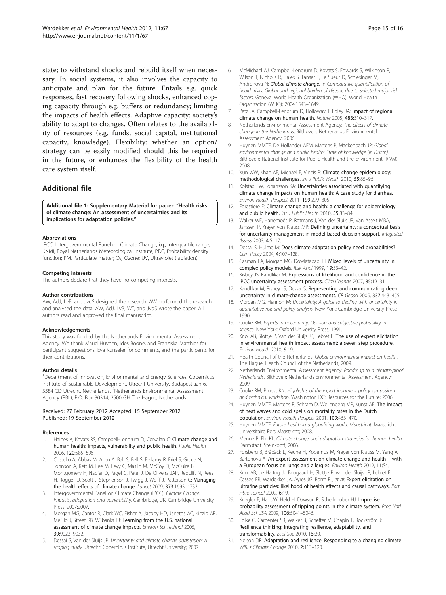<span id="page-14-0"></span>state; to withstand shocks and rebuild itself when necessary. In social systems, it also involves the capacity to anticipate and plan for the future. Entails e.g. quick responses, fast recovery following shocks, enhanced coping capacity through e.g. buffers or redundancy; limiting the impacts of health effects. Adaptive capacity: society's ability to adapt to changes. Often relates to the availability of resources (e.g. funds, social capital, institutional capacity, knowledge). Flexibility: whether an option/ strategy can be easily modified should this be required in the future, or enhances the flexibility of the health care system itself.

# Additional file

[Additional file 1:](http://www.biomedcentral.com/content/supplementary/1476-069X-11-67-S1.pdf) Supplementary Material for paper: "Health risks of climate change: An assessment of uncertainties and its implications for adaptation policies."

#### Abbreviations

IPCC, Intergovernmental Panel on Climate Change; i.q., Interquartile range; KNMI, Royal Netherlands Meteorological Institute; PDF, Probability density function; PM, Particulate matter; O<sub>3</sub>, Ozone; UV, Ultraviolet (radiation).

#### Competing interests

The authors declare that they have no competing interests.

#### Author contributions

AW, AdJ, LvB, and JvdS designed the research. AW performed the research and analysed the data. AW, AdJ, LvB, WT, and JvdS wrote the paper. All authors read and approved the final manuscript.

#### Acknowledgements

This study was funded by the Netherlands Environmental Assessment Agency. We thank Maud Huynen, Ides Boone, and Franziska Matthies for participant suggestions, Eva Kunseler for comments, and the participants for their contributions.

#### Author details

<sup>1</sup>Department of Innovation, Environmental and Energy Sciences, Copernicus Institute of Sustainable Development, Utrecht University, Budapestlaan 6, 3584 CD Utrecht, Netherlands. <sup>2</sup>Netherlands Environmental Assessment Agency (PBL), P.O. Box 30314, 2500 GH The Hague, Netherlands.

#### Received: 27 February 2012 Accepted: 15 September 2012 Published: 19 September 2012

#### References

- Haines A, Kovats RS, Campbell-Lendrum D, Corvalan C: Climate change and human health: Impacts, vulnerability and public health. Public Health 2006, 120:585–596.
- Costello A, Abbas M, Allen A, Ball S, Bell S, Bellamy R, Friel S, Groce N, Johnson A, Kett M, Lee M, Levy C, Maslin M, McCoy D, McGuire B, Montgomery H, Napier D, Pagel C, Patel J, De Oliveira JAP, Redclift N, Rees H, Rogger D, Scott J, Stephenson J, Twigg J, Wolff J, Patterson C: Managing the health effects of climate change. Lancet 2009, 373:1693–1733.
- 3. Intergovernmental Panel on Climate Change (IPCC): Climate Change: Impacts, adaptation and vulnerability. Cambridge, UK: Cambridge University Press; 2007:2007.
- 4. Morgan MG, Cantor R, Clark WC, Fisher A, Jacoby HD, Janetos AC, Kinzig AP, Melillo J, Street RB, Wilbanks TJ: Learning from the U.S. national assessment of climate change impacts. Environ Sci Technol 2005, 39:9023–9032.
- 5. Dessai S, Van der Sluijs JP: Uncertainty and climate change adaptation: A scoping study. Utrecht: Copernicus Institute, Utrecht University; 2007.
- 6. McMichael AJ, Campbell-Lendrum D, Kovats S, Edwards S, Wilkinson P, Wilson T, Nicholls R, Hales S, Tanser F, Le Sueur D, Schlesinger M, Andronova N: Global climate change. In Comparative quantification of health risks: Global and regional burden of disease due to selected major risk factors. Geneva: World Health Organization (WHO); World Health Organization (WHO); 2004:1543–1649.
- 7. Patz JA, Campbell-Lendrum D, Holloway T, Foley JA: Impact of regional climate change on human health. Nature 2005, 483:310–317.
- 8. Netherlands Environmental Assessment Agency: The effects of climate change in the Netherlands. Bilthoven: Netherlands Environmental Assessment Agency; 2006.
- 9. Huynen MMTE, De Hollander AEM, Martens P, Mackenbach JP: Global environmental change and public health: State of knowledge [in Dutch]. Bilthoven: National Institute for Public Health and the Environment (RIVM); 2008.
- 10. Xun WW, Khan AE, Michael E, Vineis P: Climate change epidemiology: methodological challenges. Int J Public Health 2010, 55:85-96.
- 11. Kolstad EW, Johansson KA: Uncertainties associated with quantifying climate change impacts on human health: A case study for diarrhea. Environ Health Perspect 2011, 199:299–305.
- 12. Forastiere F: Climate change and health: a challenge for epidemiology and public health. Int J Public Health 2010, 55:83-84.
- 13. Walker WE, Harremoës P, Rotmans J, Van der Sluijs JP, Van Asselt MBA, Janssen P, Krayer von Krauss MP: Defining uncertainty: a conceptual basis for uncertainty management in model-based decision support. Integrated Assess 2003, 4:5–17.
- 14. Dessai S, Hulme M: Does climate adaptation policy need probabilities? Clim Policy 2004, 4:107–128.
- 15. Casman EA, Morgan MG, Dowlatabadi H: Mixed levels of uncertainty in complex policy models. Risk Anal 1999, 19:33–42.
- 16. Risbey JS, Kandlikar M: Expressions of likelihood and confidence in the IPCC uncertainty assessment process. Clim Change 2007, 85:19–31.
- 17. Kandlikar M, Risbey JS, Dessai S: Representing and communicating deep uncertainty in climate-change assessments. CR Geosci 2005, 337:443–455.
- 18. Morgan MG, Henrion M: Uncertainty: A guide to dealing with uncertainty in quantitative risk and policy analysis. New York: Cambridge University Press; 1990.
- 19. Cooke RM: Experts in uncertainty: Opinion and subjective probability in science. New York: Oxford University Press; 1991.
- 20. Knol AB, Slottje P, Van der Sluijs JP, Lebret E: The use of expert elicitation in environmental health impact assessment: a seven step procedure. Environ Health 2010, 9:19.
- 21. Health Council of the Netherlands: Global environmental impact on health. The Hague: Health Council of the Netherlands; 2009.
- 22. Netherlands Environmental Assessment Agency: Roadmap to a climate-proof Netherlands. Bilthoven: Netherlands Environmental Assessment Agency; 2009.
- 23. Cooke RM, Probst KN: Highlights of the expert judgment policy symposium and technical workshop. Washington DC: Resources for the Future; 2006.
- 24. Huynen MMTE, Martens P, Schram D, Weijenberg MP, Kunst AE: The impact of heat waves and cold spells on mortality rates in the Dutch population. Environ Health Perspect 2001, 109:463–470.
- 25. Huynen MMTE: Future health in a globalising world. Maastricht. Maastricht: Universitaire Pers Maastricht; 2008.
- 26. Menne B, Ebi KL: Climate change and adaptation strategies for human health. Darmstadt: Steinkopff; 2006.
- 27. Forsberg B, Bråbäck L, Keune H, Kobernus M, Krayer von Krauss M, Yang A, Bartonova A: An expert assessment on climate change and health – with a European focus on lungs and allergies. Environ Health 2012, 11:S4.
- 28. Knol AB, de Hartog JJ, Boogaard H, Slottje P, van der Sluijs JP, Lebret E, Cassee FR, Wardekker JA, Ayres JG, Borm PJ, et al: Expert elicitation on ultrafine particles: likelihood of health effects and causal pathways. Part Fibre Toxicol 2009, 6:19.
- 29. Kriegler E, Hall JW, Held H, Dawson R, Schellnhuber HJ: Imprecise probability assessment of tipping points in the climate system. Proc Natl Acad Sci USA 2009, 106:5041–5046.
- 30. Folke C, Carpenter SR, Walker B, Scheffer M, Chapin T, Rockström J: Resilience thinking: Integrating resilience, adaptability, and transformability. Ecol Soc 2010, 15:20.
- 31. Nelson DR: Adaptation and resilience: Responding to a changing climate. WIREs Climate Change 2010, 2:113–120.